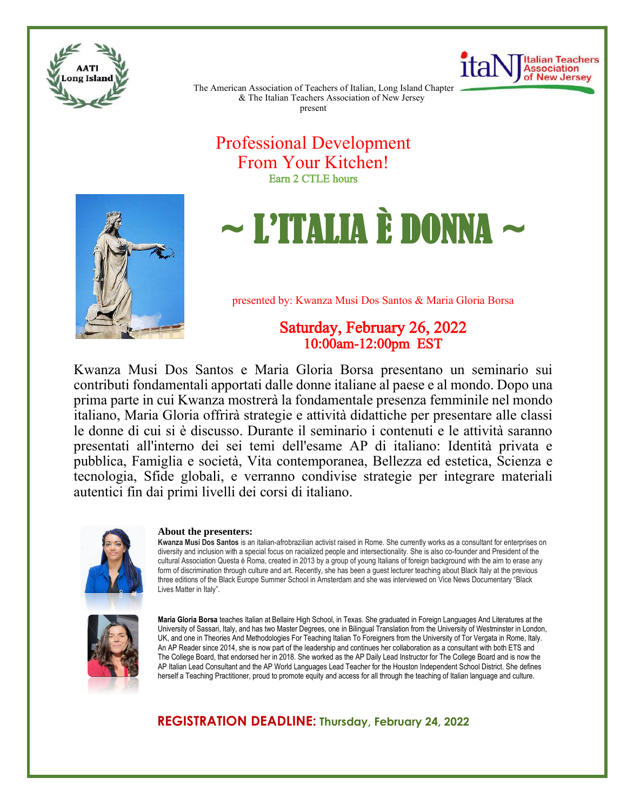



The American Association of Teachers of Italian, Long Island Chapter & The Italian Teachers Association of New Jersey present

# Professional Development From Your Kitchen! Earn 2 CTLE hours



# $\sim$  L'ITALIA È DONNA  $\sim$

presented by: Kwanza Musi Dos Santos & Maria Gloria Borsa

# Saturday, February 26, 2022 10:00am-12:00pm EST

Kwanza Musi Dos Santos e Maria Gloria Borsa presentano un seminario sui contributi fondamentali apportati dalle donne italiane al paese e al mondo. Dopo una prima parte in cui Kwanza mostrerà la fondamentale presenza femminile nel mondo italiano, Maria Gloria offrirà strategie e attività didattiche per presentare alle classi le donne di cui si è discusso. Durante il seminario i contenuti e le attività saranno presentati all'interno dei sei temi dell'esame AP di italiano: Identità privata e pubblica, Famiglia e società, Vita contemporanea, Bellezza ed estetica, Scienza e tecnologia, Sfide globali, e verranno condivise strategie per integrare materiali autentici fin dai primi livelli dei corsi di italiano.



#### **About the presenters:**

**Kwanza Musi Dos Santos** is an italian-afrobrazilian activist raised in Rome. She currently works as a consultant for enterprises on diversity and inclusion with a special focus on racialized people and intersectionality. She is also co-founder and President of the cultural Association Questa è Roma, created in 2013 by a group of young Italians of foreign background with the aim to erase any form of discrimination through culture and art. Recently, she has been a guest lecturer teaching about Black Italy at the previous three editions of the Black Europe Summer School in Amsterdam and she was interviewed on Vice News Documentary "Black Lives Matter in Italy".



**Maria Gloria Borsa** teaches Italian at Bellaire High School, in Texas. She graduated in Foreign Languages And Literatures at the University of Sassari, Italy, and has two Master Degrees, one in Bilingual Translation from the University of Westminster in London, UK, and one in Theories And Methodologies For Teaching Italian To Foreigners from the University of Tor Vergata in Rome, Italy. An AP Reader since 2014, she is now part of the leadership and continues her collaboration as a consultant with both ETS and The College Board, that endorsed her in 2018. She worked as the AP Daily Lead Instructor for The College Board and is now the AP Italian Lead Consultant and the AP World Languages Lead Teacher for the Houston Independent School District. She defines herself a Teaching Practitioner, proud to promote equity and access for all through the teaching of Italian language and culture.

### **REGISTRATION DEADLINE: Thursday, February 24, 2022**